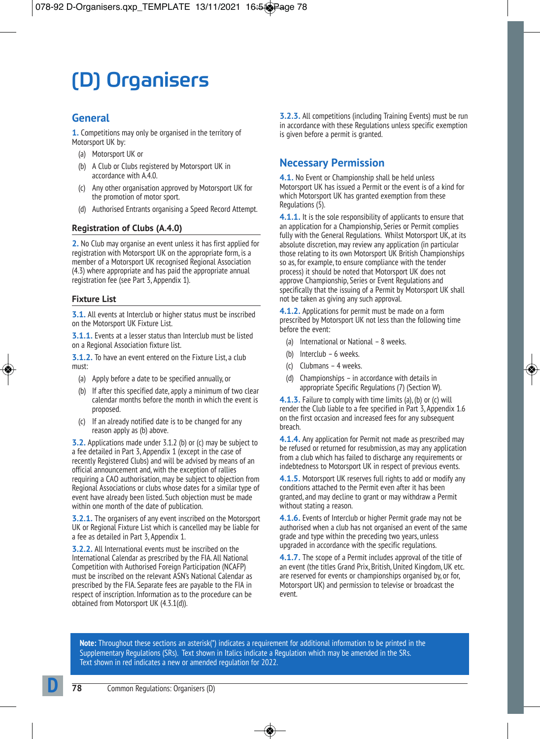# (D) Organisers

## **General**

**1.** Competitions may only be organised in the territory of Motorsport UK by:

- (a) Motorsport UK or
- (b) A Club or Clubs registered by Motorsport UK in accordance with A.4.0.
- (c) Any other organisation approved by Motorsport UK for the promotion of motor sport.
- (d) Authorised Entrants organising a Speed Record Attempt.

## **Registration of Clubs (A.4.0)**

**2.** No Club may organise an event unless it has first applied for registration with Motorsport UK on the appropriate form, is a member of a Motorsport UK recognised Regional Association (4.3) where appropriate and has paid the appropriate annual registration fee (see Part 3, Appendix 1).

#### **Fixture List**

**3.1.** All events at Interclub or higher status must be inscribed on the Motorsport UK Fixture List.

**3.1.1.** Events at a lesser status than Interclub must be listed on a Regional Association fixture list.

**3.1.2.** To have an event entered on the Fixture List, a club must:

- (a) Apply before a date to be specified annually, or
- (b) If after this specified date, apply a minimum of two clear calendar months before the month in which the event is proposed.
- (c) If an already notified date is to be changed for any reason apply as (b) above.

**3.2.** Applications made under 3.1.2 (b) or (c) may be subject to a fee detailed in Part 3, Appendix 1 (except in the case of recently Registered Clubs) and will be advised by means of an official announcement and, with the exception of rallies requiring a CAO authorisation, may be subject to objection from Regional Associations or clubs whose dates for a similar type of event have already been listed. Such objection must be made within one month of the date of publication.

**3.2.1.** The organisers of any event inscribed on the Motorsport UK or Regional Fixture List which is cancelled may be liable for a fee as detailed in Part 3, Appendix 1.

**3.2.2.** All International events must be inscribed on the International Calendar as prescribed by the FIA. All National Competition with Authorised Foreign Participation (NCAFP) must be inscribed on the relevant ASN's National Calendar as prescribed by the FIA. Separate fees are payable to the FIA in respect of inscription. Information as to the procedure can be obtained from Motorsport UK (4.3.1(d)).

**3.2.3.** All competitions (including Training Events) must be run in accordance with these Regulations unless specific exemption is given before a permit is granted.

## **Necessary Permission**

**4.1.** No Event or Championship shall be held unless Motorsport UK has issued a Permit or the event is of a kind for which Motorsport UK has granted exemption from these Regulations (5).

**4.1.1.** It is the sole responsibility of applicants to ensure that an application for a Championship, Series or Permit complies fully with the General Regulations. Whilst Motorsport UK, at its absolute discretion, may review any application (in particular those relating to its own Motorsport UK British Championships so as, for example, to ensure compliance with the tender process) it should be noted that Motorsport UK does not approve Championship, Series or Event Regulations and specifically that the issuing of a Permit by Motorsport UK shall not be taken as giving any such approval.

**4.1.2.** Applications for permit must be made on a form prescribed by Motorsport UK not less than the following time before the event:

- (a) International or National 8 weeks.
- (b) Interclub 6 weeks.
- (c) Clubmans 4 weeks.
- (d) Championships in accordance with details in appropriate Specific Regulations (7) (Section W).

**4.1.3.** Failure to comply with time limits (a), (b) or (c) will render the Club liable to a fee specified in Part 3, Appendix 1.6 on the first occasion and increased fees for any subsequent breach.

**4.1.4.** Any application for Permit not made as prescribed may be refused or returned for resubmission, as may any application from a club which has failed to discharge any requirements or indebtedness to Motorsport UK in respect of previous events.

**4.1.5.** Motorsport UK reserves full rights to add or modify any conditions attached to the Permit even after it has been granted, and may decline to grant or may withdraw a Permit without stating a reason.

**4.1.6.** Events of Interclub or higher Permit grade may not be authorised when a club has not organised an event of the same grade and type within the preceding two years, unless upgraded in accordance with the specific regulations.

**4.1.7.** The scope of a Permit includes approval of the title of an event (the titles Grand Prix, British, United Kingdom, UK etc. are reserved for events or championships organised by, or for, Motorsport UK) and permission to televise or broadcast the event.

**Note:** Throughout these sections an asterisk(\*) indicates a requirement for additional information to be printed in the Supplementary Regulations (SRs). Text shown in Italics indicate a Regulation which may be amended in the SRs. Text shown in red indicates a new or amended regulation for 2022.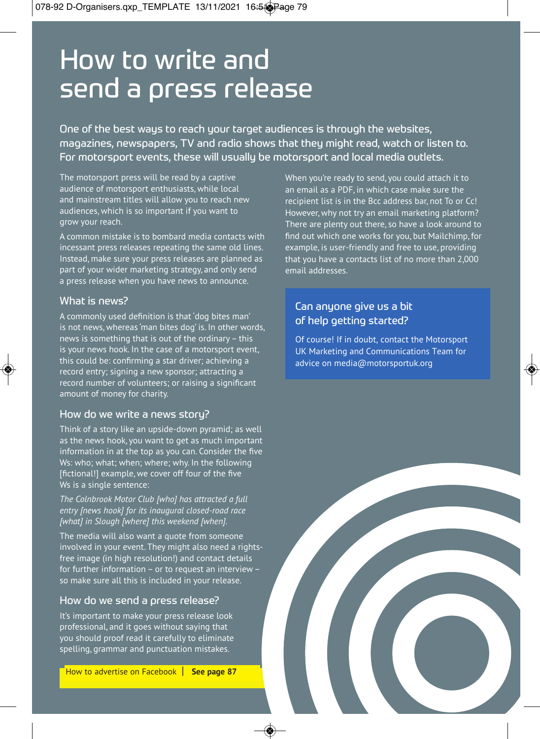# How to write and send a press release

One of the best ways to reach your target audiences is through the websites, magazines, newspapers, TV and radio shows that they might read, watch or listen to. For motorsport events, these will usually be motorsport and local media outlets.

The motorsport press will be read by a captive audience of motorsport enthusiasts, while local and mainstream titles will allow you to reach new audiences, which is so important if you want to grow your reach.

A common mistake is to bombard media contacts with incessant press releases repeating the same old lines. Instead, make sure your press releases are planned as part of your wider marketing strategy, and only send a press release when you have news to announce.

## What is news?

A commonly used definition is that 'dog bites man' is not news, whereas 'man bites dog' is. In other words, news is something that is out of the ordinary – this is your news hook. In the case of a motorsport event, this could be: confirming a star driver; achieving a record entry: signing a new sponsor: attracting a record number of volunteers: or raising a significant amount of money for charity.

## How do we write a news story?

Think of a story like an upside-down pyramid; as well as the news hook, you want to get as much important information in at the top as you can. Consider the five Ws: who: what: when: where: why. In the following [fictional!] example, we cover off four of the five Ws is a single sentence:

*The Colnbrook Motor Club [who] has attracted a full entry [news hook] for its inaugural closed-road race [what] in Slough [where] this weekend [when].*

The media will also want a quote from someone involved in your event. They might also need a rights free image (in high resolution!) and contact details for further information – or to request an interview – so make sure all this is included in your release.

## How do we send a press release?

It's important to make your press release look professional, and it goes without saying that you should proof read it carefully to eliminate spelling, grammar and punctuation mistakes.

When you're ready to send, you could attach it to an email as a PDF, in which case make sure the recipient list is in the Bcc address bar, not To or Cc! However, why not try an email marketing platform? There are plenty out there, so have a look around to find out which one works for you, but Mailchimp, for example, is user-friendly and free to use, providing that you have a contacts list of no more than 2,000 email addresses.

# Can anyone give us a bit of help getting started?

Of course! If in doubt, contact the Motorsport UK Marketing and Communications Team for advice on media@motorsportuk.org

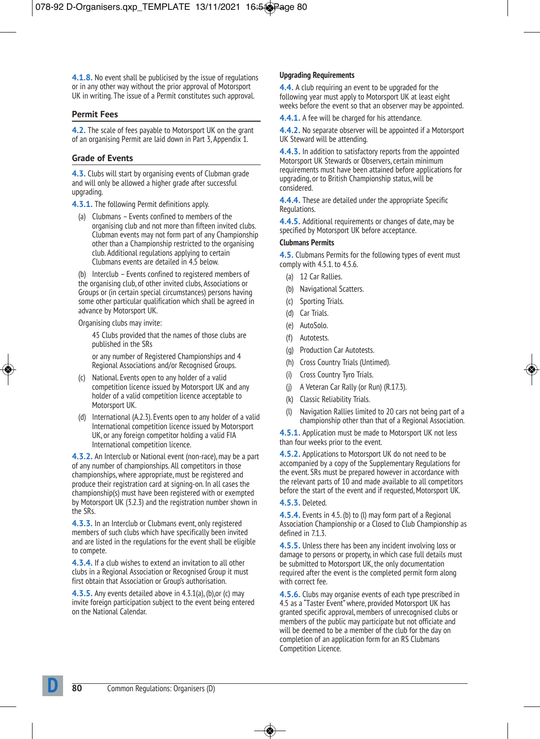**4.1.8.** No event shall be publicised by the issue of regulations or in any other way without the prior approval of Motorsport UK in writing. The issue of a Permit constitutes such approval.

#### **Permit Fees**

**4.2.** The scale of fees payable to Motorsport UK on the grant of an organising Permit are laid down in Part 3, Appendix 1.

#### **Grade of Events**

**4.3.** Clubs will start by organising events of Clubman grade and will only be allowed a higher grade after successful upgrading.

**4.3.1.** The following Permit definitions apply.

(a) Clubmans – Events confined to members of the organising club and not more than fifteen invited clubs. Clubman events may not form part of any Championship other than a Championship restricted to the organising club. Additional regulations applying to certain Clubmans events are detailed in 4.5 below.

(b) Interclub – Events confined to registered members of the organising club, of other invited clubs, Associations or Groups or (in certain special circumstances) persons having some other particular qualification which shall be agreed in advance by Motorsport UK.

Organising clubs may invite:

 45 Clubs provided that the names of those clubs are published in the SRs

 or any number of Registered Championships and 4 Regional Associations and/or Recognised Groups.

- (c) National. Events open to any holder of a valid competition licence issued by Motorsport UK and any holder of a valid competition licence acceptable to Motorsport UK.
- (d) International (A.2.3). Events open to any holder of a valid International competition licence issued by Motorsport UK, or any foreign competitor holding a valid FIA International competition licence.

**4.3.2.** An Interclub or National event (non-race), may be a part of any number of championships. All competitors in those championships, where appropriate, must be registered and produce their registration card at signing-on. In all cases the championship(s) must have been registered with or exempted by Motorsport UK (3.2.3) and the registration number shown in the SRs.

**4.3.3.** In an Interclub or Clubmans event, only registered members of such clubs which have specifically been invited and are listed in the regulations for the event shall be eligible to compete.

**4.3.4.** If a club wishes to extend an invitation to all other clubs in a Regional Association or Recognised Group it must first obtain that Association or Group's authorisation.

**4.3.5.** Any events detailed above in 4.3.1(a), (b),or (c) may invite foreign participation subject to the event being entered on the National Calendar.

#### **Upgrading Requirements**

**4.4.** A club requiring an event to be upgraded for the following year must apply to Motorsport UK at least eight weeks before the event so that an observer may be appointed.

**4.4.1.** A fee will be charged for his attendance.

**4.4.2.** No separate observer will be appointed if a Motorsport UK Steward will be attending.

**4.4.3.** In addition to satisfactory reports from the appointed Motorsport UK Stewards or Observers, certain minimum requirements must have been attained before applications for upgrading, or to British Championship status, will be considered.

**4.4.4.** These are detailed under the appropriate Specific Regulations.

**4.4.5.** Additional requirements or changes of date, may be specified by Motorsport UK before acceptance.

#### **Clubmans Permits**

**4.5.** Clubmans Permits for the following types of event must comply with 4.5.1. to 4.5.6.

- (a) 12 Car Rallies.
- (b) Navigational Scatters.
- Sporting Trials.
- (d) Car Trials.
- (e) AutoSolo.
- (f) Autotests.
- (g) Production Car Autotests.
- (h) Cross Country Trials (Untimed).
- (i) Cross Country Tyro Trials.
- (j) A Veteran Car Rally (or Run) (R.17.3).
- (k) Classic Reliability Trials.
- Navigation Rallies limited to 20 cars not being part of a championship other than that of a Regional Association.

**4.5.1.** Application must be made to Motorsport UK not less than four weeks prior to the event.

**4.5.2.** Applications to Motorsport UK do not need to be accompanied by a copy of the Supplementary Regulations for the event. SRs must be prepared however in accordance with the relevant parts of 10 and made available to all competitors before the start of the event and if requested, Motorsport UK.

#### **4.5.3.** Deleted.

**4.5.4.** Events in 4.5. (b) to (l) may form part of a Regional Association Championship or a Closed to Club Championship as defined in 7.1.3.

**4.5.5.** Unless there has been any incident involving loss or damage to persons or property, in which case full details must be submitted to Motorsport UK, the only documentation required after the event is the completed permit form along with correct fee.

**4.5.6.** Clubs may organise events of each type prescribed in 4.5 as a "Taster Event" where, provided Motorsport UK has granted specific approval, members of unrecognised clubs or members of the public may participate but not officiate and will be deemed to be a member of the club for the day on completion of an application form for an RS Clubmans Competition Licence.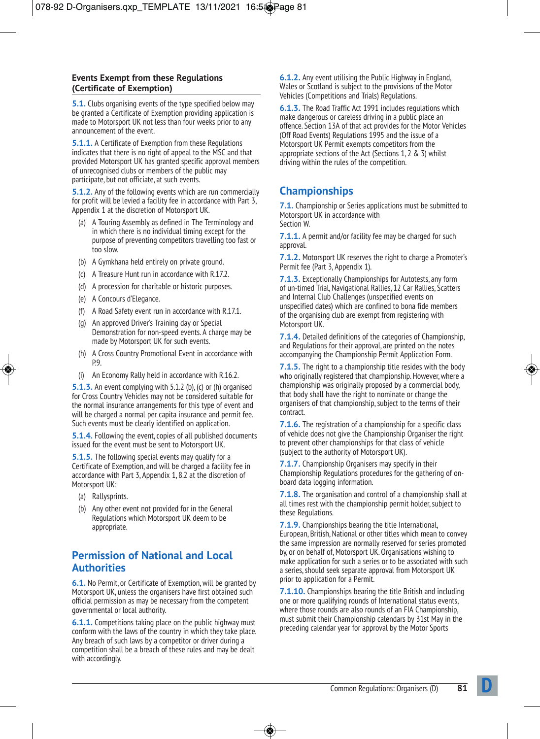## **Events Exempt from these Regulations (Certificate of Exemption)**

**5.1.** Clubs organising events of the type specified below may be granted a Certificate of Exemption providing application is made to Motorsport UK not less than four weeks prior to any announcement of the event.

**5.1.1.** A Certificate of Exemption from these Regulations indicates that there is no right of appeal to the MSC and that provided Motorsport UK has granted specific approval members of unrecognised clubs or members of the public may participate, but not officiate, at such events.

**5.1.2.** Any of the following events which are run commercially for profit will be levied a facility fee in accordance with Part 3, Appendix 1 at the discretion of Motorsport UK.

- (a) A Touring Assembly as defined in The Terminology and in which there is no individual timing except for the purpose of preventing competitors travelling too fast or too slow.
- (b) A Gymkhana held entirely on private ground.
- (c) A Treasure Hunt run in accordance with R.17.2.
- (d) A procession for charitable or historic purposes.
- (e) A Concours d'Elegance.
- (f) A Road Safety event run in accordance with R.17.1.
- (g) An approved Driver's Training day or Special Demonstration for non-speed events. A charge may be made by Motorsport UK for such events.
- (h) A Cross Country Promotional Event in accordance with p.9
- (i) An Economy Rally held in accordance with R.16.2.

**5.1.3.** An event complying with 5.1.2 (b), (c) or (h) organised for Cross Country Vehicles may not be considered suitable for the normal insurance arrangements for this type of event and will be charged a normal per capita insurance and permit fee. Such events must be clearly identified on application.

**5.1.4.** Following the event, copies of all published documents issued for the event must be sent to Motorsport UK.

**5.1.5.** The following special events may qualify for a Certificate of Exemption, and will be charged a facility fee in accordance with Part 3, Appendix 1, 8.2 at the discretion of Motorsport UK:

- (a) Rallysprints.
- (b) Any other event not provided for in the General Regulations which Motorsport UK deem to be appropriate.

## **Permission of National and Local Authorities**

**6.1.** No Permit, or Certificate of Exemption, will be granted by Motorsport UK, unless the organisers have first obtained such official permission as may be necessary from the competent governmental or local authority.

**6.1.1.** Competitions taking place on the public highway must conform with the laws of the country in which they take place. Any breach of such laws by a competitor or driver during a competition shall be a breach of these rules and may be dealt with accordingly.

**6.1.2.** Any event utilising the Public Highway in England, Wales or Scotland is subject to the provisions of the Motor Vehicles (Competitions and Trials) Regulations.

**6.1.3.** The Road Traffic Act 1991 includes regulations which make dangerous or careless driving in a public place an offence. Section 13A of that act provides for the Motor Vehicles (Off Road Events) Regulations 1995 and the issue of a Motorsport UK Permit exempts competitors from the appropriate sections of the Act (Sections 1, 2 & 3) whilst driving within the rules of the competition.

# **Championships**

**7.1.** Championship or Series applications must be submitted to Motorsport UK in accordance with Section W.

**7.1.1.** A permit and/or facility fee may be charged for such approval

**7.1.2.** Motorsport UK reserves the right to charge a Promoter's Permit fee (Part 3, Appendix 1).

**7.1.3.** Exceptionally Championships for Autotests, any form of un-timed Trial, Navigational Rallies, 12 Car Rallies, Scatters and Internal Club Challenges (unspecified events on unspecified dates) which are confined to bona fide members of the organising club are exempt from registering with Motorsport UK.

**7.1.4.** Detailed definitions of the categories of Championship, and Regulations for their approval, are printed on the notes accompanying the Championship Permit Application Form.

**7.1.5.** The right to a championship title resides with the body who originally registered that championship. However, where a championship was originally proposed by a commercial body, that body shall have the right to nominate or change the organisers of that championship, subject to the terms of their contract.

**7.1.6.** The registration of a championship for a specific class of vehicle does not give the Championship Organiser the right to prevent other championships for that class of vehicle (subject to the authority of Motorsport UK).

**7.1.7.** Championship Organisers may specify in their Championship Regulations procedures for the gathering of onboard data logging information.

**7.1.8.** The organisation and control of a championship shall at all times rest with the championship permit holder, subject to these Regulations.

**7.1.9.** Championships bearing the title International, European, British, National or other titles which mean to convey the same impression are normally reserved for series promoted by, or on behalf of, Motorsport UK. Organisations wishing to make application for such a series or to be associated with such a series, should seek separate approval from Motorsport UK prior to application for a Permit.

**7.1.10.** Championships bearing the title British and including one or more qualifying rounds of International status events, where those rounds are also rounds of an FIA Championship, must submit their Championship calendars by 31st May in the preceding calendar year for approval by the Motor Sports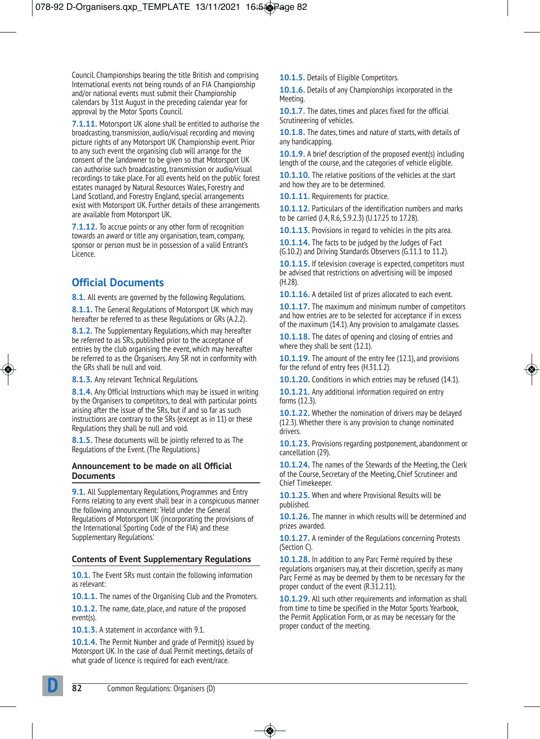Council. Championships bearing the title British and comprising International events not being rounds of an FIA Championship and/or national events must submit their Championship calendars by 31st August in the preceding calendar year for approval by the Motor Sports Council.

**7.1.11.** Motorsport UK alone shall be entitled to authorise the broadcasting, transmission, audio/visual recording and moving picture rights of any Motorsport UK Championship event. Prior to any such event the organising club will arrange for the consent of the landowner to be given so that Motorsport UK can authorise such broadcasting, transmission or audio/visual recordings to take place. For all events held on the public forest estates managed by Natural Resources Wales, Forestry and Land Scotland, and Forestry England, special arrangements exist with Motorsport UK. Further details of these arrangements are available from Motorsport UK.

**7.1.12.** To accrue points or any other form of recognition towards an award or title any organisation, team, company, sponsor or person must be in possession of a valid Entrant's Licence.

# **Official Documents**

**8.1.** All events are governed by the following Regulations.

**8.1.1.** The General Regulations of Motorsport UK which may hereafter be referred to as these Regulations or GRs (A.2.2).

**8.1.2.** The Supplementary Regulations, which may hereafter be referred to as SRs, published prior to the acceptance of entries by the club organising the event, which may hereafter be referred to as the Organisers. Any SR not in conformity with the GRs shall be null and void.

**8.1.3.** Any relevant Technical Regulations.

**8.1.4.** Any Official Instructions which may be issued in writing by the Organisers to competitors, to deal with particular points arising after the issue of the SRs, but if and so far as such instructions are contrary to the SRs (except as in 11) or these Regulations they shall be null and void.

**8.1.5.** These documents will be jointly referred to as The Regulations of the Event. (The Regulations.)

#### **Announcement to be made on all Official Documents**

**9.1.** All Supplementary Regulations, Programmes and Entry Forms relating to any event shall bear in a conspicuous manner the following announcement: 'Held under the General Regulations of Motorsport UK (incorporating the provisions of the International Sporting Code of the FIA) and these Supplementary Regulations.'

## **Contents of Event Supplementary Regulations**

**10.1.** The Event SRs must contain the following information as relevant:

**10.1.1.** The names of the Organising Club and the Promoters.

**10.1.2.** The name, date, place, and nature of the proposed event(s).

**10.1.3.** A statement in accordance with 9.1.

**10.1.4.** The Permit Number and grade of Permit(s) issued by Motorsport UK. In the case of dual Permit meetings, details of what grade of licence is required for each event/race.

**10.1.5.** Details of Eligible Competitors.

**10.1.6.** Details of any Championships incorporated in the Meeting.

**10.1.7.** The dates, times and places fixed for the official Scrutineering of vehicles.

**10.1.8.** The dates, times and nature of starts, with details of any handicapping.

**10.1.9.** A brief description of the proposed event(s) including length of the course, and the categories of vehicle eligible.

**10.1.10.** The relative positions of the vehicles at the start and how they are to be determined.

**10.1.11.** Requirements for practice.

**10.1.12.** Particulars of the identification numbers and marks to be carried (J.4, R.6, S.9.2.3) (U.17.25 to 17.28).

**10.1.13.** Provisions in regard to vehicles in the pits area.

**10.1.14.** The facts to be judged by the Judges of Fact (G.10.2) and Driving Standards Observers (G.11.1 to 11.2).

**10.1.15.** If television coverage is expected, competitors must be advised that restrictions on advertising will be imposed (H.28).

**10.1.16.** A detailed list of prizes allocated to each event.

**10.1.17.** The maximum and minimum number of competitors and how entries are to be selected for acceptance if in excess of the maximum (14.1). Any provision to amalgamate classes.

**10.1.18.** The dates of opening and closing of entries and where they shall be sent (12.1).

**10.1.19.** The amount of the entry fee (12.1), and provisions for the refund of entry fees (H.31.1.2).

**10.1.20.** Conditions in which entries may be refused (14.1).

**10.1.21.** Any additional information required on entry forms (12.3).

**10.1.22.** Whether the nomination of drivers may be delayed (12.3). Whether there is any provision to change nominated drivers.

**10.1.23.** Provisions regarding postponement, abandonment or cancellation (29).

**10.1.24.** The names of the Stewards of the Meeting, the Clerk of the Course, Secretary of the Meeting, Chief Scrutineer and Chief Timekeeper.

**10.1.25.** When and where Provisional Results will be published.

**10.1.26.** The manner in which results will be determined and prizes awarded.

**10.1.27.** A reminder of the Regulations concerning Protests (Section C).

**10.1.28.** In addition to any Parc Fermé required by these regulations organisers may, at their discretion, specify as many Parc Fermé as may be deemed by them to be necessary for the proper conduct of the event (R.31.2.11).

**10.1.29.** All such other requirements and information as shall from time to time be specified in the Motor Sports Yearbook, the Permit Application Form, or as may be necessary for the proper conduct of the meeting.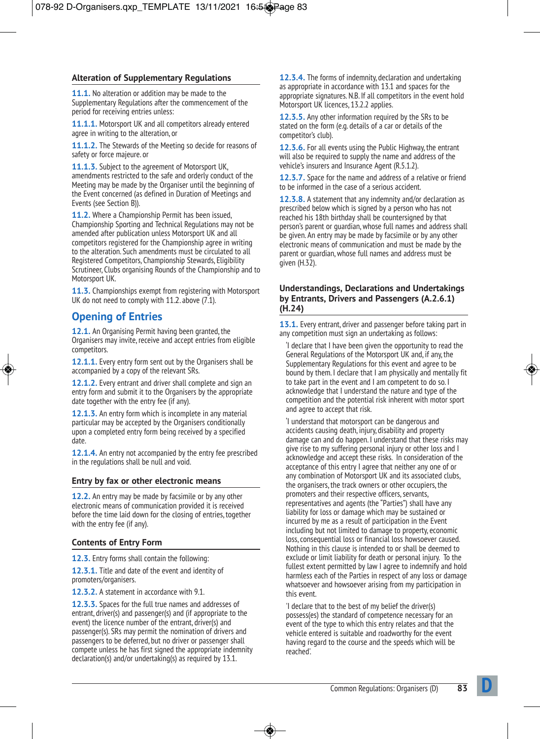## **Alteration of Supplementary Regulations**

**11.1.** No alteration or addition may be made to the Supplementary Regulations after the commencement of the period for receiving entries unless:

**11.1.1.** Motorsport UK and all competitors already entered agree in writing to the alteration, or

**11.1.2.** The Stewards of the Meeting so decide for reasons of safety or force majeure. or

**11.1.3.** Subject to the agreement of Motorsport UK, amendments restricted to the safe and orderly conduct of the Meeting may be made by the Organiser until the beginning of the Event concerned (as defined in Duration of Meetings and Events (see Section B)).

**11.2.** Where a Championship Permit has been issued, Championship Sporting and Technical Regulations may not be amended after publication unless Motorsport UK and all competitors registered for the Championship agree in writing to the alteration. Such amendments must be circulated to all Registered Competitors, Championship Stewards, Eligibility Scrutineer, Clubs organising Rounds of the Championship and to Motorsport UK.

**11.3.** Championships exempt from registering with Motorsport UK do not need to comply with 11.2. above (7.1).

# **Opening of Entries**

**12.1.** An Organising Permit having been granted, the Organisers may invite, receive and accept entries from eligible competitors.

**12.1.1.** Every entry form sent out by the Organisers shall be accompanied by a copy of the relevant SRs.

**12.1.2.** Every entrant and driver shall complete and sign an entry form and submit it to the Organisers by the appropriate date together with the entry fee (if any).

**12.1.3.** An entry form which is incomplete in any material particular may be accepted by the Organisers conditionally upon a completed entry form being received by a specified date.

**12.1.4.** An entry not accompanied by the entry fee prescribed in the regulations shall be null and void.

## **Entry by fax or other electronic means**

**12.2.** An entry may be made by facsimile or by any other electronic means of communication provided it is received before the time laid down for the closing of entries, together with the entry fee (if any).

## **Contents of Entry Form**

**12.3.** Entry forms shall contain the following:

**12.3.1.** Title and date of the event and identity of promoters/organisers.

**12.3.2.** A statement in accordance with 9.1.

**12.3.3.** Spaces for the full true names and addresses of entrant, driver(s) and passenger(s) and (if appropriate to the event) the licence number of the entrant, driver(s) and passenger(s). SRs may permit the nomination of drivers and passengers to be deferred, but no driver or passenger shall compete unless he has first signed the appropriate indemnity declaration(s) and/or undertaking(s) as required by 13.1.

**12.3.4.** The forms of indemnity, declaration and undertaking as appropriate in accordance with 13.1 and spaces for the appropriate signatures. N.B. If all competitors in the event hold Motorsport UK licences, 13.2.2 applies.

**12.3.5.** Any other information required by the SRs to be stated on the form (e.g. details of a car or details of the competitor's club).

**12.3.6.** For all events using the Public Highway, the entrant will also be required to supply the name and address of the vehicle's insurers and Insurance Agent (R.5.1.2).

**12.3.7.** Space for the name and address of a relative or friend to be informed in the case of a serious accident.

**12.3.8.** A statement that any indemnity and/or declaration as prescribed below which is signed by a person who has not reached his 18th birthday shall be countersigned by that person's parent or guardian, whose full names and address shall be given. An entry may be made by facsimile or by any other electronic means of communication and must be made by the parent or guardian, whose full names and address must be  $q$ iven  $(H.32)$ .

#### **Understandings, Declarations and Undertakings by Entrants, Drivers and Passengers (A.2.6.1) (H.24)**

**13.1.** Every entrant, driver and passenger before taking part in any competition must sign an undertaking as follows:

'I declare that I have been given the opportunity to read the General Regulations of the Motorsport UK and, if any, the Supplementary Regulations for this event and agree to be bound by them. I declare that I am physically and mentally fit to take part in the event and I am competent to do so. I acknowledge that I understand the nature and type of the competition and the potential risk inherent with motor sport and agree to accept that risk.

'I understand that motorsport can be dangerous and accidents causing death, injury, disability and property damage can and do happen. I understand that these risks may give rise to my suffering personal injury or other loss and I acknowledge and accept these risks. In consideration of the acceptance of this entry I agree that neither any one of or any combination of Motorsport UK and its associated clubs, the organisers, the track owners or other occupiers, the promoters and their respective officers, servants, representatives and agents (the "Parties") shall have any liability for loss or damage which may be sustained or incurred by me as a result of participation in the Event including but not limited to damage to property, economic loss, consequential loss or financial loss howsoever caused. Nothing in this clause is intended to or shall be deemed to exclude or limit liability for death or personal injury. To the fullest extent permitted by law I agree to indemnify and hold harmless each of the Parties in respect of any loss or damage whatsoever and howsoever arising from my participation in this event.

'I declare that to the best of my belief the driver(s) possess(es) the standard of competence necessary for an event of the type to which this entry relates and that the vehicle entered is suitable and roadworthy for the event having regard to the course and the speeds which will be reached'.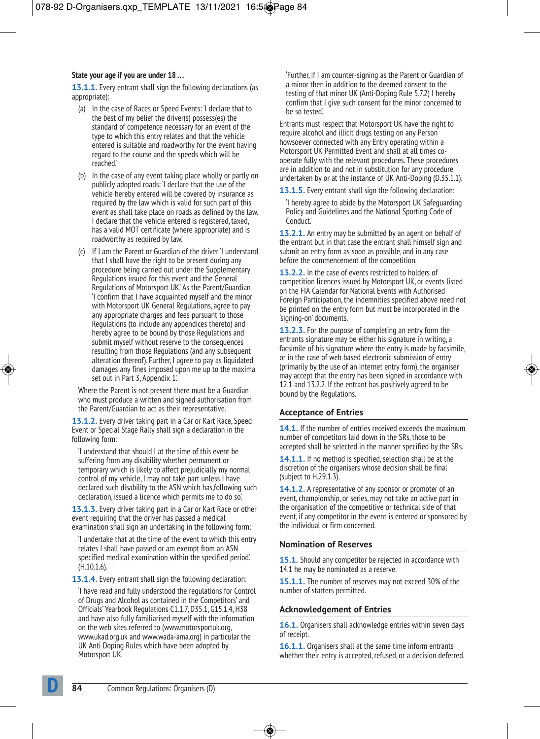#### **State your age if you are under 18 . . .**

**13.1.1.** Every entrant shall sign the following declarations (as appropriate):

- (a) In the case of Races or Speed Events: 'I declare that to the best of my belief the driver(s) possess(es) the standard of competence necessary for an event of the type to which this entry relates and that the vehicle entered is suitable and roadworthy for the event having regard to the course and the speeds which will be reached.'
- (b) In the case of any event taking place wholly or partly on publicly adopted roads: 'I declare that the use of the vehicle hereby entered will be covered by insurance as required by the law which is valid for such part of this event as shall take place on roads as defined by the law. I declare that the vehicle entered is registered, taxed, has a valid MOT certificate (where appropriate) and is roadworthy as required by law.'
- (c) If I am the Parent or Guardian of the driver 'I understand that I shall have the right to be present during any procedure being carried out under the Supplementary Regulations issued for this event and the General Regulations of Motorsport UK.' As the Parent/Guardian 'I confirm that I have acquainted myself and the minor with Motorsport UK General Regulations, agree to pay any appropriate charges and fees pursuant to those Regulations (to include any appendices thereto) and hereby agree to be bound by those Regulations and submit myself without reserve to the consequences resulting from those Regulations (and any subsequent alteration thereof). Further, I agree to pay as liquidated damages any fines imposed upon me up to the maxima set out in Part 3, Appendix 1.'

Where the Parent is not present there must be a Guardian who must produce a written and signed authorisation from the Parent/Guardian to act as their representative.

**13.1.2.** Every driver taking part in a Car or Kart Race, Speed Event or Special Stage Rally shall sign a declaration in the following form:

'I understand that should I at the time of this event be suffering from any disability whether permanent or temporary which is likely to affect prejudicially my normal control of my vehicle, I may not take part unless I have declared such disability to the ASN which has,following such declaration, issued a licence which permits me to do so.'

**13.1.3.** Every driver taking part in a Car or Kart Race or other event requiring that the driver has passed a medical examination shall sign an undertaking in the following form:

'I undertake that at the time of the event to which this entry relates I shall have passed or am exempt from an ASN specified medical examination within the specified period.' (H.10.1.6).

**13.1.4.** Every entrant shall sign the following declaration:

'I have read and fully understood the regulations for Control of Drugs and Alcohol as contained in the Competitors' and Officials' Yearbook Regulations C1.1.7, D35.1, G15.1.4, H38 and have also fully familiarised myself with the information on the web sites referred to (www.motorsportuk.org, www.ukad.org.uk and www.wada-ama.org) in particular the UK Anti Doping Rules which have been adopted by Motorsport UK.

'Further, if I am counter-signing as the Parent or Guardian of a minor then in addition to the deemed consent to the testing of that minor UK (Anti-Doping Rule 5.7.2) I hereby confirm that I give such consent for the minor concerned to be so tested.'

Entrants must respect that Motorsport UK have the right to require alcohol and illicit drugs testing on any Person howsoever connected with any Entry operating within a Motorsport UK Permitted Event and shall at all times cooperate fully with the relevant procedures. These procedures are in addition to and not in substitution for any procedure undertaken by or at the instance of UK Anti-Doping (D.35.1.1).

**13.1.5.** Every entrant shall sign the following declaration:

'I hereby agree to abide by the Motorsport UK Safeguarding Policy and Guidelines and the National Sporting Code of Conduct.'

**13.2.1.** An entry may be submitted by an agent on behalf of the entrant but in that case the entrant shall himself sign and submit an entry form as soon as possible, and in any case before the commencement of the competition.

**13.2.2.** In the case of events restricted to holders of competition licences issued by Motorsport UK, or events listed on the FIA Calendar for National Events with Authorised Foreign Participation, the indemnities specified above need not be printed on the entry form but must be incorporated in the 'signing-on' documents.

**13.2.3.** For the purpose of completing an entry form the entrants signature may be either his signature in writing, a facsimile of his signature where the entry is made by facsimile, or in the case of web based electronic submission of entry (primarily by the use of an internet entry form), the organiser may accept that the entry has been signed in accordance with 12.1 and 13.2.2. If the entrant has positively agreed to be bound by the Regulations.

## **Acceptance of Entries**

**14.1.** If the number of entries received exceeds the maximum number of competitors laid down in the SRs, those to be accepted shall be selected in the manner specified by the SRs.

**14.1.1.** If no method is specified, selection shall be at the discretion of the organisers whose decision shall be final (subject to H.29.1.3).

**14.1.2.** A representative of any sponsor or promoter of an event, championship, or series, may not take an active part in the organisation of the competitive or technical side of that event, if any competitor in the event is entered or sponsored by the individual or firm concerned.

#### **Nomination of Reserves**

**15.1.** Should any competitor be rejected in accordance with 14.1 he may be nominated as a reserve.

**15.1.1.** The number of reserves may not exceed 30% of the number of starters permitted.

#### **Acknowledgement of Entries**

**16.1.** Organisers shall acknowledge entries within seven days of receipt.

**16.1.1.** Organisers shall at the same time inform entrants whether their entry is accepted, refused, or a decision deferred.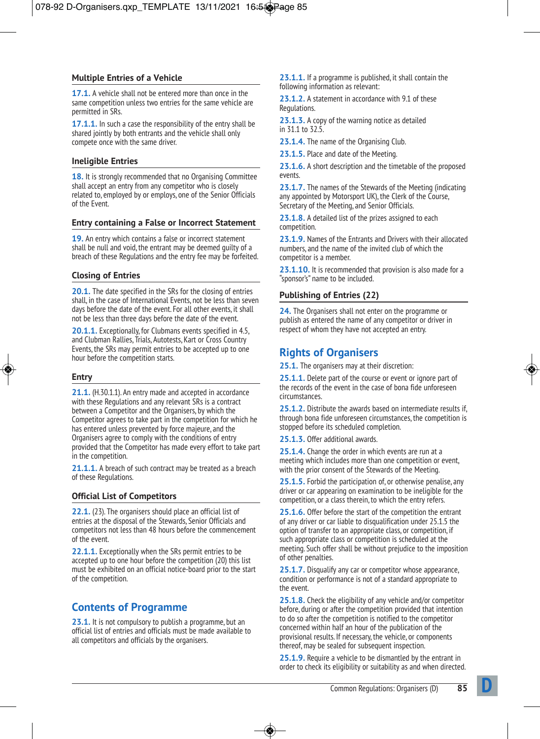## **Multiple Entries of a Vehicle**

**17.1.** A vehicle shall not be entered more than once in the same competition unless two entries for the same vehicle are permitted in SRs.

**17.1.1.** In such a case the responsibility of the entry shall be shared jointly by both entrants and the vehicle shall only compete once with the same driver.

#### **Ineligible Entries**

**18.** It is strongly recommended that no Organising Committee shall accept an entry from any competitor who is closely related to, employed by or employs, one of the Senior Officials of the Event.

#### **Entry containing a False or Incorrect Statement**

**19.** An entry which contains a false or incorrect statement shall be null and void, the entrant may be deemed guilty of a breach of these Regulations and the entry fee may be forfeited.

## **Closing of Entries**

**20.1.** The date specified in the SRs for the closing of entries shall, in the case of International Events, not be less than seven days before the date of the event. For all other events, it shall not be less than three days before the date of the event.

**20.1.1.** Exceptionally, for Clubmans events specified in 4.5, and Clubman Rallies, Trials, Autotests, Kart or Cross Country Events, the SRs may permit entries to be accepted up to one hour before the competition starts.

#### **Entry**

**21.1.** (H.30.1.1). An entry made and accepted in accordance with these Regulations and any relevant SRs is a contract between a Competitor and the Organisers, by which the Competitor agrees to take part in the competition for which he has entered unless prevented by force majeure, and the Organisers agree to comply with the conditions of entry provided that the Competitor has made every effort to take part in the competition.

**21.1.1.** A breach of such contract may be treated as a breach of these Regulations.

## **Official List of Competitors**

**22.1.** (23). The organisers should place an official list of entries at the disposal of the Stewards, Senior Officials and competitors not less than 48 hours before the commencement of the event.

**22.1.1.** Exceptionally when the SRs permit entries to be accepted up to one hour before the competition (20) this list must be exhibited on an official notice-board prior to the start of the competition.

# **Contents of Programme**

**23.1.** It is not compulsory to publish a programme, but an official list of entries and officials must be made available to all competitors and officials by the organisers.

**23.1.1.** If a programme is published, it shall contain the following information as relevant:

**23.1.2.** A statement in accordance with 9.1 of these Regulations.

**23.1.3.** A copy of the warning notice as detailed in 31.1 to 32.5.

23.1.4. The name of the Organising Club.

**23.1.5.** Place and date of the Meeting.

**23.1.6.** A short description and the timetable of the proposed events.

**23.1.7.** The names of the Stewards of the Meeting (indicating any appointed by Motorsport UK), the Clerk of the Course, Secretary of the Meeting, and Senior Officials.

**23.1.8.** A detailed list of the prizes assigned to each competition.

**23.1.9.** Names of the Entrants and Drivers with their allocated numbers, and the name of the invited club of which the competitor is a member.

**23.1.10.** It is recommended that provision is also made for a "sponsor's" name to be included.

## **Publishing of Entries (22)**

**24.** The Organisers shall not enter on the programme or publish as entered the name of any competitor or driver in respect of whom they have not accepted an entry.

## **Rights of Organisers**

**25.1.** The organisers may at their discretion:

25.1.1. Delete part of the course or event or ignore part of the records of the event in the case of bona fide unforeseen circumstances.

**25.1.2.** Distribute the awards based on intermediate results if, through bona fide unforeseen circumstances, the competition is stopped before its scheduled completion.

**25.1.3.** Offer additional awards.

**25.1.4.** Change the order in which events are run at a meeting which includes more than one competition or event, with the prior consent of the Stewards of the Meeting.

**25.1.5.** Forbid the participation of, or otherwise penalise, any driver or car appearing on examination to be ineligible for the competition, or a class therein, to which the entry refers.

**25.1.6.** Offer before the start of the competition the entrant of any driver or car liable to disqualification under 25.1.5 the option of transfer to an appropriate class, or competition, if such appropriate class or competition is scheduled at the meeting. Such offer shall be without prejudice to the imposition of other penalties.

**25.1.7.** Disqualify any car or competitor whose appearance, condition or performance is not of a standard appropriate to the event.

**25.1.8.** Check the eligibility of any vehicle and/or competitor before, during or after the competition provided that intention to do so after the competition is notified to the competitor concerned within half an hour of the publication of the provisional results. If necessary, the vehicle, or components thereof, may be sealed for subsequent inspection.

**25.1.9.** Require a vehicle to be dismantled by the entrant in order to check its eligibility or suitability as and when directed.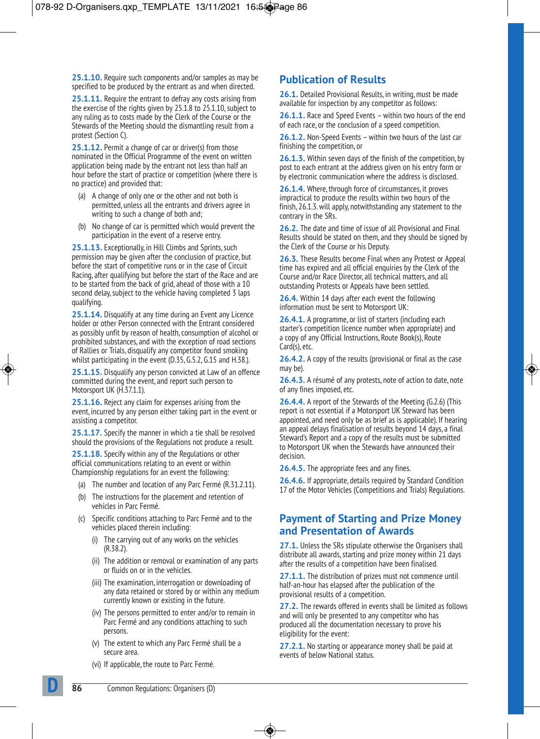**25.1.10.** Require such components and/or samples as may be specified to be produced by the entrant as and when directed.

**25.1.11.** Require the entrant to defray any costs arising from the exercise of the rights given by 25.1.8 to 25.1.10, subject to any ruling as to costs made by the Clerk of the Course or the Stewards of the Meeting should the dismantling result from a protest (Section C).

**25.1.12.** Permit a change of car or driver(s) from those nominated in the Official Programme of the event on written application being made by the entrant not less than half an hour before the start of practice or competition (where there is no practice) and provided that:

- (a) A change of only one or the other and not both is permitted, unless all the entrants and drivers agree in writing to such a change of both and;
- (b) No change of car is permitted which would prevent the participation in the event of a reserve entry.

**25.1.13.** Exceptionally, in Hill Climbs and Sprints, such permission may be given after the conclusion of practice, but before the start of competitive runs or in the case of Circuit Racing, after qualifying but before the start of the Race and are to be started from the back of grid, ahead of those with a 10 second delay, subject to the vehicle having completed 3 laps qualifying.

**25.1.14.** Disqualify at any time during an Event any Licence holder or other Person connected with the Entrant considered as possibly unfit by reason of health, consumption of alcohol or prohibited substances, and with the exception of road sections of Rallies or Trials, disqualify any competitor found smoking whilst participating in the event (D.35, G.5.2, G.15 and H.38.).

**25.1.15.** Disqualify any person convicted at Law of an offence committed during the event, and report such person to Motorsport UK (H.37.1.1).

**25.1.16.** Reject any claim for expenses arising from the event, incurred by any person either taking part in the event or assisting a competitor.

**25.1.17.** Specify the manner in which a tie shall be resolved should the provisions of the Regulations not produce a result.

**25.1.18.** Specify within any of the Regulations or other official communications relating to an event or within Championship regulations for an event the following:

- (a) The number and location of any Parc Fermé (R.31.2.11).
- (b) The instructions for the placement and retention of vehicles in Parc Fermé.
- (c) Specific conditions attaching to Parc Fermé and to the vehicles placed therein including:
	- (i) The carrying out of any works on the vehicles (R.38.2).
	- (ii) The addition or removal or examination of any parts or fluids on or in the vehicles.
	- (iii) The examination, interrogation or downloading of any data retained or stored by or within any medium currently known or existing in the future.
	- (iv) The persons permitted to enter and/or to remain in Parc Fermé and any conditions attaching to such persons.
	- (v) The extent to which any Parc Fermé shall be a secure area.
	- (vi) If applicable, the route to Parc Fermé.

# **Publication of Results**

**26.1.** Detailed Provisional Results, in writing, must be made available for inspection by any competitor as follows:

**26.1.1.** Race and Speed Events – within two hours of the end of each race, or the conclusion of a speed competition.

**26.1.2.** Non-Speed Events – within two hours of the last car finishing the competition, or

**26.1.3.** Within seven days of the finish of the competition, by post to each entrant at the address given on his entry form or by electronic communication where the address is disclosed.

**26.1.4.** Where, through force of circumstances, it proves impractical to produce the results within two hours of the finish, 26.1.3. will apply, notwithstanding any statement to the contrary in the SRs.

**26.2.** The date and time of issue of all Provisional and Final Results should be stated on them, and they should be signed by the Clerk of the Course or his Deputy.

**26.3.** These Results become Final when any Protest or Appeal time has expired and all official enquiries by the Clerk of the Course and/or Race Director, all technical matters, and all outstanding Protests or Appeals have been settled.

**26.4.** Within 14 days after each event the following information must be sent to Motorsport UK:

**26.4.1.** A programme, or list of starters (including each starter's competition licence number when appropriate) and a copy of any Official Instructions, Route Book(s), Route Card(s), etc.

**26.4.2.** A copy of the results (provisional or final as the case may be).

**26.4.3.** A résumé of any protests, note of action to date, note of any fines imposed, etc.

**26.4.4.** A report of the Stewards of the Meeting (G.2.6) (This report is not essential if a Motorsport UK Steward has been appointed, and need only be as brief as is applicable). If hearing an appeal delays finalisation of results beyond 14 days, a final Steward's Report and a copy of the results must be submitted to Motorsport UK when the Stewards have announced their decision.

**26.4.5.** The appropriate fees and any fines.

**26.4.6.** If appropriate, details required by Standard Condition 17 of the Motor Vehicles (Competitions and Trials) Regulations.

## **Payment of Starting and Prize Money and Presentation of Awards**

**27.1.** Unless the SRs stipulate otherwise the Organisers shall distribute all awards, starting and prize money within 21 days after the results of a competition have been finalised.

**27.1.1.** The distribution of prizes must not commence until half-an-hour has elapsed after the publication of the provisional results of a competition.

**27.2.** The rewards offered in events shall be limited as follows and will only be presented to any competitor who has produced all the documentation necessary to prove his eligibility for the event:

**27.2.1.** No starting or appearance money shall be paid at events of below National status.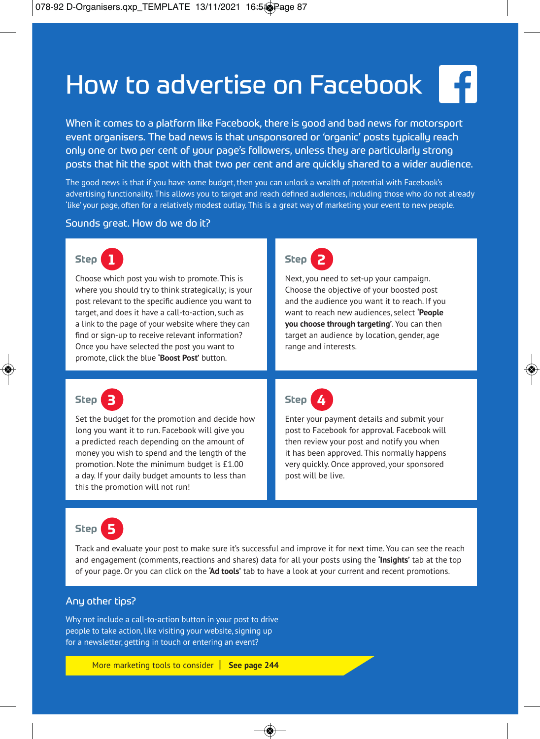# How to advertise on Facebook

When it comes to a platform like Facebook, there is good and bad news for motorsport event organisers. The bad news is that unsponsored or 'organic' posts typically reach only one or two per cent of your page's followers, unless they are particularly strong posts that hit the spot with that two per cent and are quickly shared to a wider audience.

The good news is that if you have some budget, then you can unlock a wealth of potential with Facebook's advertising functionality. This allows you to target and reach defined audiences, including those who do not already `like' your page, often for a relatively modest outlay. This is a great way of marketing your event to new people.

#### Sounds great. How do we do it?



Choose which post you wish to promote. This is where you should try to think strategically; is your post relevant to the specific audience you want to target, and does it have a call-to-action, such as a link to the page of your website where they can find or sign-up to receive relevant information? Once you have selected the post you want to promote, click the blue **'Boost Post'** button.



Next, you need to set-up your campaign. Choose the objective of your boosted post and the audience you want it to reach. If you want to reach new audiences, select **'People you choose through targeting'**. You can then target an audience by location, gender, age range and interests.



Set the budget for the promotion and decide how long you want it to run. Facebook will give you a predicted reach depending on the amount of money you wish to spend and the length of the promotion. Note the minimum budget is £1.00 a day. If your daily budget amounts to less than this the promotion will not run!



Enter your payment details and submit your post to Facebook for approval. Facebook will then review your post and notify you when it has been approved. This normally happens very quickly. Once approved, your sponsored post will be live.



Track and evaluate your post to make sure it's successful and improve it for next time. You can see the reach and engagement (comments, reactions and shares) data for all your posts using the **'Insights'** tab at the top of your page. Or you can click on the **'Ad tools'** tab to have a look at your current and recent promotions.

## Any other tips?

Why not include a call-to-action button in your post to drive people to take action, like visiting your website, signing up for a newsletter, getting in touch or entering an event?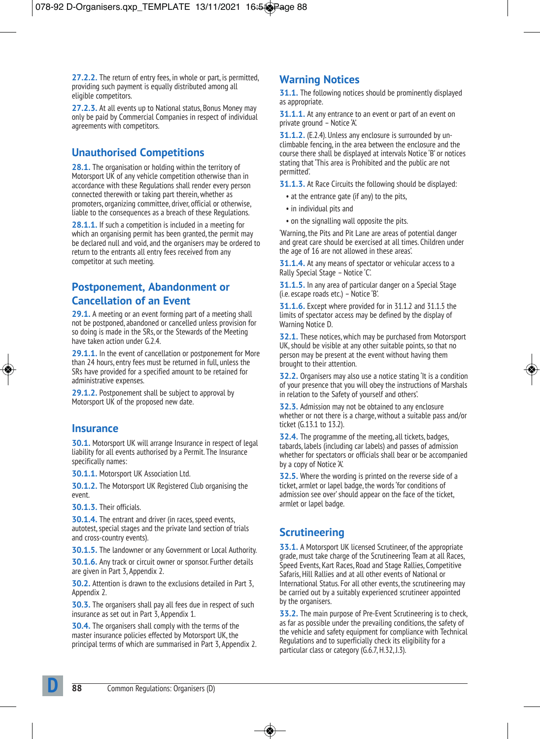**27.2.2.** The return of entry fees, in whole or part, is permitted, providing such payment is equally distributed among all eligible competitors.

**27.2.3.** At all events up to National status, Bonus Money may only be paid by Commercial Companies in respect of individual agreements with competitors.

# **Unauthorised Competitions**

**28.1.** The organisation or holding within the territory of Motorsport UK of any vehicle competition otherwise than in accordance with these Regulations shall render every person connected therewith or taking part therein, whether as promoters, organizing committee, driver, official or otherwise, liable to the consequences as a breach of these Regulations.

**28.1.1.** If such a competition is included in a meeting for which an organising permit has been granted, the permit may be declared null and void, and the organisers may be ordered to return to the entrants all entry fees received from any competitor at such meeting.

## **Postponement, Abandonment or Cancellation of an Event**

**29.1.** A meeting or an event forming part of a meeting shall not be postponed, abandoned or cancelled unless provision for so doing is made in the SRs, or the Stewards of the Meeting have taken action under G.2.4.

**29.1.1.** In the event of cancellation or postponement for More than 24 hours, entry fees must be returned in full, unless the SRs have provided for a specified amount to be retained for administrative expenses.

**29.1.2.** Postponement shall be subject to approval by Motorsport UK of the proposed new date.

## **Insurance**

**30.1.** Motorsport UK will arrange Insurance in respect of legal liability for all events authorised by a Permit. The Insurance specifically names:

**30.1.1.** Motorsport UK Association Ltd.

**30.1.2.** The Motorsport UK Registered Club organising the event.

**30.1.3.** Their officials.

**30.1.4.** The entrant and driver (in races, speed events, autotest, special stages and the private land section of trials and cross-country events).

**30.1.5.** The landowner or any Government or Local Authority.

**30.1.6.** Any track or circuit owner or sponsor. Further details are given in Part 3, Appendix 2.

**30.2.** Attention is drawn to the exclusions detailed in Part 3, Appendix 2.

**30.3.** The organisers shall pay all fees due in respect of such insurance as set out in Part 3, Appendix 1.

**30.4.** The organisers shall comply with the terms of the master insurance policies effected by Motorsport UK, the principal terms of which are summarised in Part 3, Appendix 2.

## **Warning Notices**

**31.1.** The following notices should be prominently displayed as appropriate.

**31.1.1.** At any entrance to an event or part of an event on private ground – Notice 'A'.

**31.1.2.** (E.2.4). Unless any enclosure is surrounded by unclimbable fencing, in the area between the enclosure and the course there shall be displayed at intervals Notice 'B' or notices stating that 'This area is Prohibited and the public are not permitted'.

**31.1.3.** At Race Circuits the following should be displayed:

- at the entrance gate (if any) to the pits,
- in individual pits and
- on the signalling wall opposite the pits.

'Warning, the Pits and Pit Lane are areas of potential danger and great care should be exercised at all times. Children under the age of 16 are not allowed in these areas'.

**31.1.4.** At any means of spectator or vehicular access to a Rally Special Stage – Notice 'C'.

**31.1.5.** In any area of particular danger on a Special Stage (i.e. escape roads etc.) – Notice 'B'.

**31.1.6.** Except where provided for in 31.1.2 and 31.1.5 the limits of spectator access may be defined by the display of Warning Notice D.

**32.1.** These notices, which may be purchased from Motorsport UK, should be visible at any other suitable points, so that no person may be present at the event without having them brought to their attention.

**32.2.** Organisers may also use a notice stating 'It is a condition of your presence that you will obey the instructions of Marshals in relation to the Safety of yourself and others'.

**32.3.** Admission may not be obtained to any enclosure whether or not there is a charge, without a suitable pass and/or ticket (G.13.1 to 13.2).

**32.4.** The programme of the meeting, all tickets, badges, tabards, labels (including car labels) and passes of admission whether for spectators or officials shall bear or be accompanied by a copy of Notice 'A'.

**32.5.** Where the wording is printed on the reverse side of a ticket, armlet or lapel badge, the words 'for conditions of admission see over' should appear on the face of the ticket, armlet or lapel badge.

# **Scrutineering**

**33.1.** A Motorsport UK licensed Scrutineer, of the appropriate grade, must take charge of the Scrutineering Team at all Races, Speed Events, Kart Races, Road and Stage Rallies, Competitive Safaris, Hill Rallies and at all other events of National or International Status. For all other events, the scrutineering may be carried out by a suitably experienced scrutineer appointed by the organisers.

**33.2.** The main purpose of Pre-Event Scrutineering is to check, as far as possible under the prevailing conditions, the safety of the vehicle and safety equipment for compliance with Technical Regulations and to superficially check its eligibility for a particular class or category (G.6.7, H.32, J.3).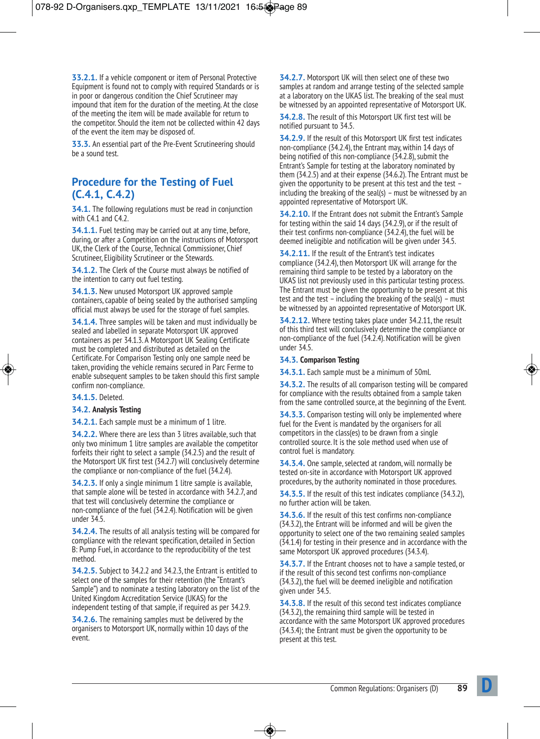**33.2.1.** If a vehicle component or item of Personal Protective Equipment is found not to comply with required Standards or is in poor or dangerous condition the Chief Scrutineer may impound that item for the duration of the meeting. At the close of the meeting the item will be made available for return to the competitor. Should the item not be collected within 42 days of the event the item may be disposed of.

**33.3.** An essential part of the Pre-Event Scrutineering should be a sound test.

## **Procedure for the Testing of Fuel (C.4.1, C.4.2)**

**34.1.** The following regulations must be read in conjunction with C4.1 and C4.2.

**34.1.1.** Fuel testing may be carried out at any time, before, during, or after a Competition on the instructions of Motorsport UK, the Clerk of the Course, Technical Commissioner, Chief Scrutineer, Eligibility Scrutineer or the Stewards.

**34.1.2.** The Clerk of the Course must always be notified of the intention to carry out fuel testing.

**34.1.3.** New unused Motorsport UK approved sample containers, capable of being sealed by the authorised sampling official must always be used for the storage of fuel samples.

**34.1.4.** Three samples will be taken and must individually be sealed and labelled in separate Motorsport UK approved containers as per 34.1.3. A Motorsport UK Sealing Certificate must be completed and distributed as detailed on the Certificate. For Comparison Testing only one sample need be taken, providing the vehicle remains secured in Parc Ferme to enable subsequent samples to be taken should this first sample confirm non-compliance.

**34.1.5.** Deleted.

#### **34.2. Analysis Testing**

**34.2.1.** Each sample must be a minimum of 1 litre.

**34.2.2.** Where there are less than 3 litres available, such that only two minimum 1 litre samples are available the competitor forfeits their right to select a sample (34.2.5) and the result of the Motorsport UK first test (34.2.7) will conclusively determine the compliance or non-compliance of the fuel (34.2.4).

**34.2.3.** If only a single minimum 1 litre sample is available, that sample alone will be tested in accordance with 34.2.7, and that test will conclusively determine the compliance or non-compliance of the fuel (34.2.4). Notification will be given under 34.5.

**34.2.4.** The results of all analysis testing will be compared for compliance with the relevant specification, detailed in Section B: Pump Fuel, in accordance to the reproducibility of the test method.

**34.2.5.** Subject to 34.2.2 and 34.2.3, the Entrant is entitled to select one of the samples for their retention (the "Entrant's Sample") and to nominate a testing laboratory on the list of the United Kingdom Accreditation Service (UKAS) for the independent testing of that sample, if required as per 34.2.9.

**34.2.6.** The remaining samples must be delivered by the organisers to Motorsport UK, normally within 10 days of the event.

**34.2.7.** Motorsport UK will then select one of these two samples at random and arrange testing of the selected sample at a laboratory on the UKAS list. The breaking of the seal must be witnessed by an appointed representative of Motorsport UK.

**34.2.8.** The result of this Motorsport UK first test will be notified pursuant to 34.5.

**34.2.9.** If the result of this Motorsport UK first test indicates non-compliance (34.2.4), the Entrant may, within 14 days of being notified of this non-compliance (34.2.8), submit the Entrant's Sample for testing at the laboratory nominated by them (34.2.5) and at their expense (34.6.2). The Entrant must be given the opportunity to be present at this test and the test – including the breaking of the seal(s) – must be witnessed by an appointed representative of Motorsport UK.

**34.2.10.** If the Entrant does not submit the Entrant's Sample for testing within the said 14 days (34.2.9), or if the result of their test confirms non-compliance (34.2.4), the fuel will be deemed ineligible and notification will be given under 34.5.

**34.2.11.** If the result of the Entrant's test indicates compliance (34.2.4), then Motorsport UK will arrange for the remaining third sample to be tested by a laboratory on the UKAS list not previously used in this particular testing process. The Entrant must be given the opportunity to be present at this test and the test – including the breaking of the seal(s) – must be witnessed by an appointed representative of Motorsport UK.

**34.2.12.** Where testing takes place under 34.2.11, the result of this third test will conclusively determine the compliance or non-compliance of the fuel (34.2.4). Notification will be given under 34.5.

#### **34.3. Comparison Testing**

**34.3.1.** Each sample must be a minimum of 50ml.

**34.3.2.** The results of all comparison testing will be compared for compliance with the results obtained from a sample taken from the same controlled source, at the beginning of the Event.

**34.3.3.** Comparison testing will only be implemented where fuel for the Event is mandated by the organisers for all competitors in the class(es) to be drawn from a single controlled source. It is the sole method used when use of control fuel is mandatory.

**34.3.4.** One sample, selected at random, will normally be tested on-site in accordance with Motorsport UK approved procedures, by the authority nominated in those procedures.

**34.3.5.** If the result of this test indicates compliance (34.3.2), no further action will be taken.

**34.3.6.** If the result of this test confirms non-compliance (34.3.2), the Entrant will be informed and will be given the opportunity to select one of the two remaining sealed samples (34.1.4) for testing in their presence and in accordance with the same Motorsport UK approved procedures (34.3.4).

**34.3.7.** If the Entrant chooses not to have a sample tested, or if the result of this second test confirms non-compliance (34.3.2), the fuel will be deemed ineligible and notification given under 34.5.

**34.3.8.** If the result of this second test indicates compliance (34.3.2), the remaining third sample will be tested in accordance with the same Motorsport UK approved procedures (34.3.4); the Entrant must be given the opportunity to be present at this test.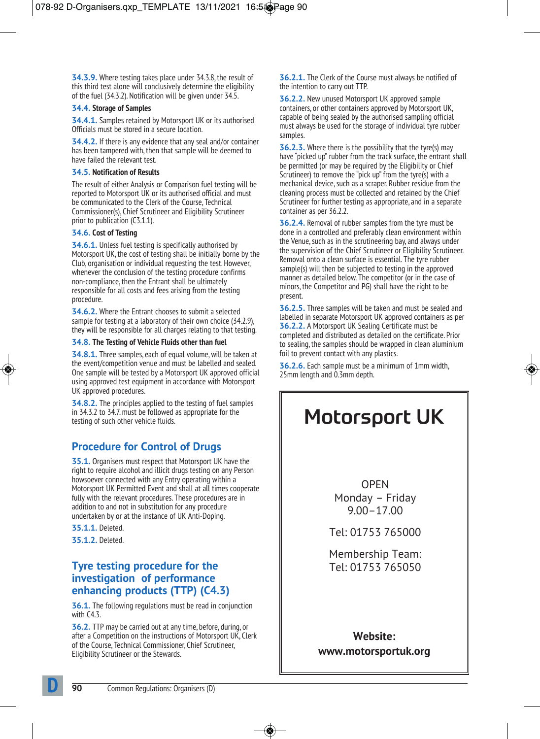**34.3.9.** Where testing takes place under 34.3.8, the result of this third test alone will conclusively determine the eligibility of the fuel (34.3.2). Notification will be given under 34.5.

#### **34.4. Storage of Samples**

**34.4.1.** Samples retained by Motorsport UK or its authorised Officials must be stored in a secure location.

**34.4.2.** If there is any evidence that any seal and/or container has been tampered with, then that sample will be deemed to have failed the relevant test.

#### **34.5. Notification of Results**

The result of either Analysis or Comparison fuel testing will be reported to Motorsport UK or its authorised official and must be communicated to the Clerk of the Course, Technical Commissioner(s), Chief Scrutineer and Eligibility Scrutineer prior to publication (C3.1.1).

#### **34.6. Cost of Testing**

**34.6.1.** Unless fuel testing is specifically authorised by Motorsport UK, the cost of testing shall be initially borne by the Club, organisation or individual requesting the test. However, whenever the conclusion of the testing procedure confirms non-compliance, then the Entrant shall be ultimately responsible for all costs and fees arising from the testing procedure.

**34.6.2.** Where the Entrant chooses to submit a selected sample for testing at a laboratory of their own choice (34.2.9), they will be responsible for all charges relating to that testing.

## **34.8. The Testing of Vehicle Fluids other than fuel**

**34.8.1.** Three samples, each of equal volume, will be taken at the event/competition venue and must be labelled and sealed. One sample will be tested by a Motorsport UK approved official using approved test equipment in accordance with Motorsport UK approved procedures.

**34.8.2.** The principles applied to the testing of fuel samples in 34.3.2 to 34.7. must be followed as appropriate for the testing of such other vehicle fluids.

# **Procedure for Control of Drugs**

**35.1.** Organisers must respect that Motorsport UK have the right to require alcohol and illicit drugs testing on any Person howsoever connected with any Entry operating within a Motorsport UK Permitted Event and shall at all times cooperate fully with the relevant procedures. These procedures are in addition to and not in substitution for any procedure undertaken by or at the instance of UK Anti-Doping.

**35.1.1.** Deleted.

**35.1.2.** Deleted.

## **Tyre testing procedure for the investigation of performance enhancing products (TTP) (C4.3)**

**36.1.** The following regulations must be read in conjunction with C4.3.

**36.2.** TTP may be carried out at any time, before, during, or after a Competition on the instructions of Motorsport UK, Clerk of the Course, Technical Commissioner, Chief Scrutineer, Eligibility Scrutineer or the Stewards.

**36.2.1.** The Clerk of the Course must always be notified of the intention to carry out TTP.

**36.2.2.** New unused Motorsport UK approved sample containers, or other containers approved by Motorsport UK, capable of being sealed by the authorised sampling official must always be used for the storage of individual tyre rubber samples.

**36.2.3.** Where there is the possibility that the tyre(s) may have "picked up" rubber from the track surface, the entrant shall be permitted (or may be required by the Eligibility or Chief Scrutineer) to remove the "pick up" from the tyre(s) with a mechanical device, such as a scraper. Rubber residue from the cleaning process must be collected and retained by the Chief Scrutineer for further testing as appropriate, and in a separate container as per 36.2.2.

**36.2.4.** Removal of rubber samples from the tyre must be done in a controlled and preferably clean environment within the Venue, such as in the scrutineering bay, and always under the supervision of the Chief Scrutineer or Eligibility Scrutineer. Removal onto a clean surface is essential. The tyre rubber sample(s) will then be subjected to testing in the approved manner as detailed below. The competitor (or in the case of minors, the Competitor and PG) shall have the right to be present.

**36.2.5.** Three samples will be taken and must be sealed and labelled in separate Motorsport UK approved containers as per **36.2.2.** A Motorsport UK Sealing Certificate must be completed and distributed as detailed on the certificate. Prior to sealing, the samples should be wrapped in clean aluminium foil to prevent contact with any plastics.

**36.2.6.** Each sample must be a minimum of 1mm width, 25mm length and 0.3mm depth.

# Motorsport UK

OPEN Monday – Friday 9.00–17.00

Tel: 01753 765000

Membership Team: Tel: 01753 765050

**Website: www.motorsportuk.org**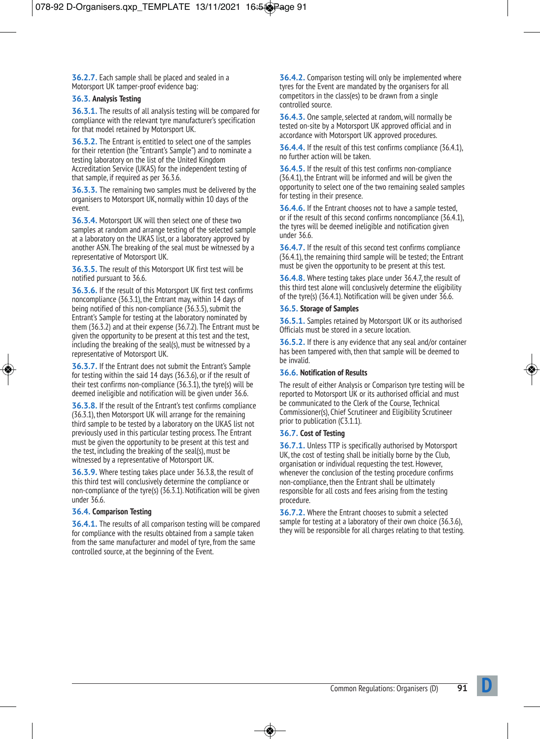**36.2.7.** Each sample shall be placed and sealed in a Motorsport UK tamper-proof evidence bag:

#### **36.3. Analysis Testing**

**36.3.1.** The results of all analysis testing will be compared for compliance with the relevant tyre manufacturer's specification for that model retained by Motorsport UK.

**36.3.2.** The Entrant is entitled to select one of the samples for their retention (the "Entrant's Sample") and to nominate a testing laboratory on the list of the United Kingdom Accreditation Service (UKAS) for the independent testing of that sample, if required as per 36.3.6.

**36.3.3.** The remaining two samples must be delivered by the organisers to Motorsport UK, normally within 10 days of the event.

**36.3.4.** Motorsport UK will then select one of these two samples at random and arrange testing of the selected sample at a laboratory on the UKAS list, or a laboratory approved by another ASN. The breaking of the seal must be witnessed by a representative of Motorsport UK.

**36.3.5.** The result of this Motorsport UK first test will be notified pursuant to 36.6.

**36.3.6.** If the result of this Motorsport UK first test confirms noncompliance (36.3.1), the Entrant may, within 14 days of being notified of this non-compliance (36.3.5), submit the Entrant's Sample for testing at the laboratory nominated by them (36.3.2) and at their expense (36.7.2). The Entrant must be given the opportunity to be present at this test and the test, including the breaking of the seal(s), must be witnessed by a representative of Motorsport UK.

**36.3.7.** If the Entrant does not submit the Entrant's Sample for testing within the said 14 days (36.3.6), or if the result of their test confirms non-compliance (36.3.1), the tyre(s) will be deemed ineligible and notification will be given under 36.6.

**36.3.8.** If the result of the Entrant's test confirms compliance (36.3.1), then Motorsport UK will arrange for the remaining third sample to be tested by a laboratory on the UKAS list not previously used in this particular testing process. The Entrant must be given the opportunity to be present at this test and the test, including the breaking of the seal(s), must be witnessed by a representative of Motorsport UK.

**36.3.9.** Where testing takes place under 36.3.8, the result of this third test will conclusively determine the compliance or non-compliance of the tyre(s) (36.3.1). Notification will be given under 36.6.

#### **36.4. Comparison Testing**

**36.4.1.** The results of all comparison testing will be compared for compliance with the results obtained from a sample taken from the same manufacturer and model of tyre, from the same controlled source, at the beginning of the Event.

**36.4.2.** Comparison testing will only be implemented where tyres for the Event are mandated by the organisers for all competitors in the class(es) to be drawn from a single controlled source.

**36.4.3.** One sample, selected at random, will normally be tested on-site by a Motorsport UK approved official and in accordance with Motorsport UK approved procedures.

**36.4.4.** If the result of this test confirms compliance (36.4.1), no further action will be taken.

**36.4.5.** If the result of this test confirms non-compliance (36.4.1), the Entrant will be informed and will be given the opportunity to select one of the two remaining sealed samples for testing in their presence.

**36.4.6.** If the Entrant chooses not to have a sample tested, or if the result of this second confirms noncompliance (36.4.1), the tyres will be deemed ineligible and notification given under 36.6.

**36.4.7.** If the result of this second test confirms compliance (36.4.1), the remaining third sample will be tested; the Entrant must be given the opportunity to be present at this test.

**36.4.8.** Where testing takes place under 36.4.7, the result of this third test alone will conclusively determine the eligibility of the tyre(s) (36.4.1). Notification will be given under 36.6.

#### **36.5. Storage of Samples**

**36.5.1.** Samples retained by Motorsport UK or its authorised Officials must be stored in a secure location.

**36.5.2.** If there is any evidence that any seal and/or container has been tampered with, then that sample will be deemed to be invalid.

#### **36.6. Notification of Results**

The result of either Analysis or Comparison tyre testing will be reported to Motorsport UK or its authorised official and must be communicated to the Clerk of the Course, Technical Commissioner(s), Chief Scrutineer and Eligibility Scrutineer prior to publication (C3.1.1).

#### **36.7. Cost of Testing**

**36.7.1.** Unless TTP is specifically authorised by Motorsport UK, the cost of testing shall be initially borne by the Club, organisation or individual requesting the test. However, whenever the conclusion of the testing procedure confirms non-compliance, then the Entrant shall be ultimately responsible for all costs and fees arising from the testing procedure.

**36.7.2.** Where the Entrant chooses to submit a selected sample for testing at a laboratory of their own choice (36.3.6), they will be responsible for all charges relating to that testing.